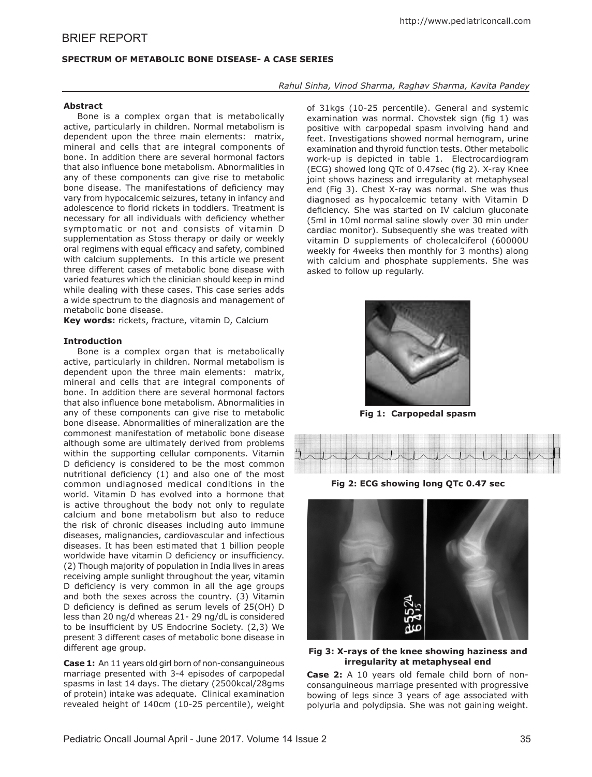# BRIEF REPORT

## **SPECTRUM OF METABOLIC BONE DISEASE- A CASE SERIES**

## *Rahul Sinha, Vinod Sharma, Raghav Sharma, Kavita Pandey*

**Abstract**

Bone is a complex organ that is metabolically active, particularly in children. Normal metabolism is dependent upon the three main elements: matrix, mineral and cells that are integral components of bone. In addition there are several hormonal factors that also influence bone metabolism. Abnormalities in any of these components can give rise to metabolic bone disease. The manifestations of deficiency may vary from hypocalcemic seizures, tetany in infancy and adolescence to florid rickets in toddlers. Treatment is necessary for all individuals with deficiency whether symptomatic or not and consists of vitamin D supplementation as Stoss therapy or daily or weekly oral regimens with equal efficacy and safety, combined with calcium supplements. In this article we present three different cases of metabolic bone disease with varied features which the clinician should keep in mind while dealing with these cases. This case series adds a wide spectrum to the diagnosis and management of metabolic bone disease.

**Key words:** rickets, fracture, vitamin D, Calcium

## **Introduction**

Bone is a complex organ that is metabolically active, particularly in children. Normal metabolism is dependent upon the three main elements: matrix, mineral and cells that are integral components of bone. In addition there are several hormonal factors that also influence bone metabolism. Abnormalities in any of these components can give rise to metabolic bone disease. Abnormalities of mineralization are the commonest manifestation of metabolic bone disease although some are ultimately derived from problems within the supporting cellular components. Vitamin D deficiency is considered to be the most common nutritional deficiency (1) and also one of the most common undiagnosed medical conditions in the world. Vitamin D has evolved into a hormone that is active throughout the body not only to regulate calcium and bone metabolism but also to reduce the risk of chronic diseases including auto immune diseases, malignancies, cardiovascular and infectious diseases. It has been estimated that 1 billion people worldwide have vitamin D deficiency or insufficiency. (2) Though majority of population in India lives in areas receiving ample sunlight throughout the year, vitamin D deficiency is very common in all the age groups and both the sexes across the country. (3) Vitamin D deficiency is defined as serum levels of 25(OH) D less than 20 ng/d whereas 21- 29 ng/dL is considered to be insufficient by US Endocrine Society. (2,3) We present 3 different cases of metabolic bone disease in different age group.

**Case 1:** An 11 years old girl born of non-consanguineous marriage presented with 3-4 episodes of carpopedal spasms in last 14 days. The dietary (2500kcal/28gms of protein) intake was adequate. Clinical examination revealed height of 140cm (10-25 percentile), weight

of 31kgs (10-25 percentile). General and systemic examination was normal. Chovstek sign (fig 1) was positive with carpopedal spasm involving hand and feet. Investigations showed normal hemogram, urine examination and thyroid function tests. Other metabolic work-up is depicted in table 1. Electrocardiogram (ECG) showed long QTc of 0.47sec (fig 2). X-ray Knee joint shows haziness and irregularity at metaphyseal end (Fig 3). Chest X-ray was normal. She was thus diagnosed as hypocalcemic tetany with Vitamin D deficiency. She was started on IV calcium gluconate (5ml in 10ml normal saline slowly over 30 min under cardiac monitor). Subsequently she was treated with vitamin D supplements of cholecalciferol (60000U weekly for 4weeks then monthly for 3 months) along with calcium and phosphate supplements. She was asked to follow up regularly.



**Fig 1: Carpopedal spasm**



**Fig 2: ECG showing long QTc 0.47 sec**



## **Fig 3: X-rays of the knee showing haziness and irregularity at metaphyseal end**

**Case 2:** A 10 years old female child born of nonconsanguineous marriage presented with progressive bowing of legs since 3 years of age associated with polyuria and polydipsia. She was not gaining weight.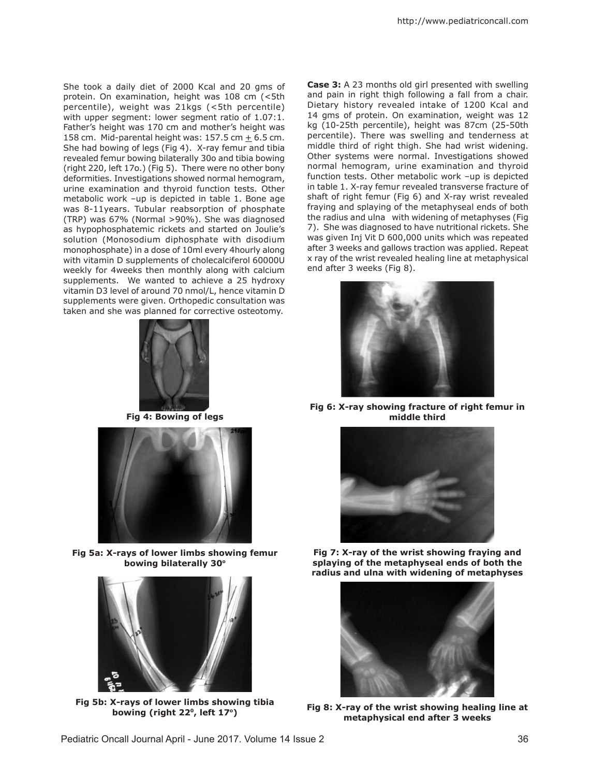She took a daily diet of 2000 Kcal and 20 gms of protein. On examination, height was 108 cm (<5th percentile), weight was 21kgs (<5th percentile) with upper segment: lower segment ratio of 1.07:1. Father's height was 170 cm and mother's height was 158 cm. Mid-parental height was: 157.5 cm  $\pm$  6.5 cm. She had bowing of legs (Fig 4). X-ray femur and tibia revealed femur bowing bilaterally 30o and tibia bowing (right 220, left 17o.) (Fig 5). There were no other bony deformities. Investigations showed normal hemogram, urine examination and thyroid function tests. Other metabolic work –up is depicted in table 1. Bone age was 8-11years. Tubular reabsorption of phosphate (TRP) was 67% (Normal >90%). She was diagnosed as hypophosphatemic rickets and started on Joulie's solution (Monosodium diphosphate with disodium monophosphate) in a dose of 10ml every 4hourly along with vitamin D supplements of cholecalciferol 60000U weekly for 4weeks then monthly along with calcium supplements. We wanted to achieve a 25 hydroxy vitamin D3 level of around 70 nmol/L, hence vitamin D supplements were given. Orthopedic consultation was taken and she was planned for corrective osteotomy.



**Fig 4: Bowing of legs**



**Fig 5a: X-rays of lower limbs showing femur bowing bilaterally 30o**



**Fig 5b: X-rays of lower limbs showing tibia bowing (right 220, left 17o)**

**Case 3:** A 23 months old girl presented with swelling and pain in right thigh following a fall from a chair. Dietary history revealed intake of 1200 Kcal and 14 gms of protein. On examination, weight was 12 kg (10-25th percentile), height was 87cm (25-50th percentile). There was swelling and tenderness at middle third of right thigh. She had wrist widening. Other systems were normal. Investigations showed normal hemogram, urine examination and thyroid function tests. Other metabolic work –up is depicted in table 1. X-ray femur revealed transverse fracture of shaft of right femur (Fig 6) and X-ray wrist revealed fraying and splaying of the metaphyseal ends of both the radius and ulna with widening of metaphyses (Fig 7). She was diagnosed to have nutritional rickets. She was given Inj Vit D 600,000 units which was repeated after 3 weeks and gallows traction was applied. Repeat x ray of the wrist revealed healing line at metaphysical end after 3 weeks (Fig 8).



**Fig 6: X-ray showing fracture of right femur in middle third**



**Fig 7: X-ray of the wrist showing fraying and splaying of the metaphyseal ends of both the radius and ulna with widening of metaphyses** 



**Fig 8: X-ray of the wrist showing healing line at metaphysical end after 3 weeks**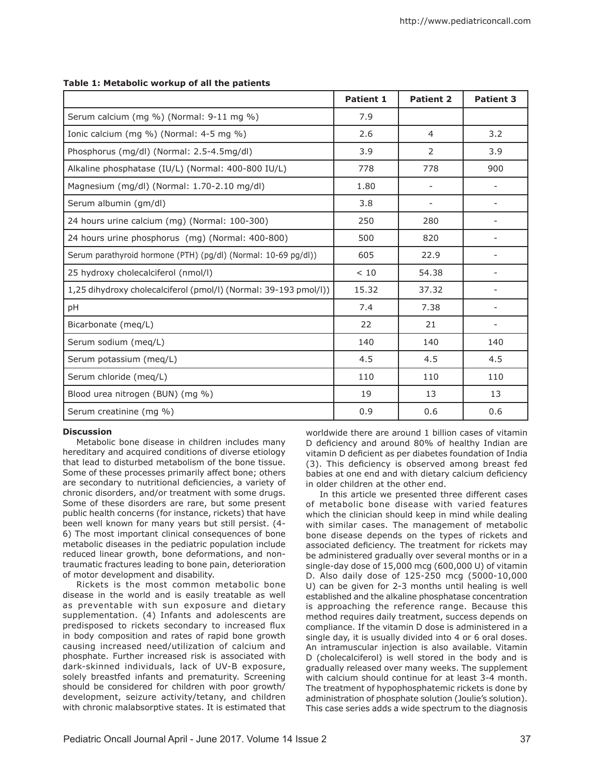|                                                                  | <b>Patient 1</b> | <b>Patient 2</b> | <b>Patient 3</b> |
|------------------------------------------------------------------|------------------|------------------|------------------|
| Serum calcium (mg %) (Normal: 9-11 mg %)                         | 7.9              |                  |                  |
| Ionic calcium (mg %) (Normal: 4-5 mg %)                          | 2.6              | $\overline{4}$   | 3.2              |
| Phosphorus (mg/dl) (Normal: 2.5-4.5mg/dl)                        | 3.9              | 2                | 3.9              |
| Alkaline phosphatase (IU/L) (Normal: 400-800 IU/L)               | 778              | 778              | 900              |
| Magnesium (mg/dl) (Normal: 1.70-2.10 mg/dl)                      | 1.80             |                  |                  |
| Serum albumin (gm/dl)                                            | 3.8              |                  |                  |
| 24 hours urine calcium (mg) (Normal: 100-300)                    | 250              | 280              |                  |
| 24 hours urine phosphorus (mg) (Normal: 400-800)                 | 500              | 820              |                  |
| Serum parathyroid hormone (PTH) (pg/dl) (Normal: 10-69 pg/dl))   | 605              | 22.9             |                  |
| 25 hydroxy cholecalciferol (nmol/l)                              | < 10             | 54.38            |                  |
| 1,25 dihydroxy cholecalciferol (pmol/l) (Normal: 39-193 pmol/l)) | 15.32            | 37.32            |                  |
| pH                                                               | 7.4              | 7.38             |                  |
| Bicarbonate (meg/L)                                              | 22               | 21               |                  |
| Serum sodium (meg/L)                                             | 140              | 140              | 140              |
| Serum potassium (meq/L)                                          | 4.5              | 4.5              | 4.5              |
| Serum chloride (meq/L)                                           | 110              | 110              | 110              |
| Blood urea nitrogen (BUN) (mg %)                                 | 19               | 13               | 13               |
| Serum creatinine (mg %)                                          | 0.9              | 0.6              | 0.6              |

## **Table 1: Metabolic workup of all the patients**

## **Discussion**

Metabolic bone disease in children includes many hereditary and acquired conditions of diverse etiology that lead to disturbed metabolism of the bone tissue. Some of these processes primarily affect bone; others are secondary to nutritional deficiencies, a variety of chronic disorders, and/or treatment with some drugs. Some of these disorders are rare, but some present public health concerns (for instance, rickets) that have .<br>been well known for many years but still persist. (4-6) The most important clinical consequences of bone metabolic diseases in the pediatric population include reduced linear growth, bone deformations, and nontraumatic fractures leading to bone pain, deterioration of motor development and disability.

Rickets is the most common metabolic bone disease in the world and is easily treatable as well as preventable with sun exposure and dietary supplementation. (4) Infants and adolescents are predisposed to rickets secondary to increased flux in body composition and rates of rapid bone growth causing increased need/utilization of calcium and phosphate. Further increased risk is associated with dark-skinned individuals, lack of UV-B exposure, solely breastfed infants and prematurity. Screening should be considered for children with poor growth/ development, seizure activity/tetany, and children with chronic malabsorptive states. It is estimated that worldwide there are around 1 billion cases of vitamin D deficiency and around 80% of healthy Indian are vitamin D deficient as per diabetes foundation of India (3). This deficiency is observed among breast fed babies at one end and with dietary calcium deficiency in older children at the other end.

In this article we presented three different cases of metabolic bone disease with varied features which the clinician should keep in mind while dealing with similar cases. The management of metabolic bone disease depends on the types of rickets and associated deficiency. The treatment for rickets may be administered gradually over several months or in a single-day dose of 15,000 mcg (600,000 U) of vitamin D. Also daily dose of 125-250 mcg (5000-10,000 U) can be given for 2-3 months until healing is well established and the alkaline phosphatase concentration is approaching the reference range. Because this method requires daily treatment, success depends on compliance. If the vitamin D dose is administered in a single day, it is usually divided into 4 or 6 oral doses. An intramuscular injection is also available. Vitamin D (cholecalciferol) is well stored in the body and is gradually released over many weeks. The supplement with calcium should continue for at least 3-4 month. The treatment of hypophosphatemic rickets is done by administration of phosphate solution (Joulie's solution). This case series adds a wide spectrum to the diagnosis